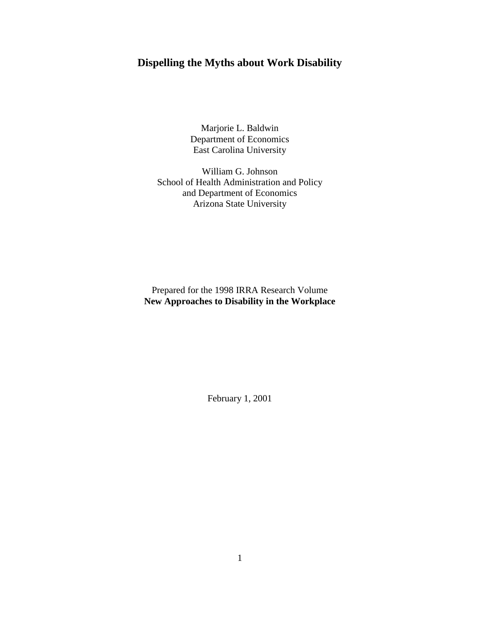# **Dispelling the Myths about Work Disability**

Marjorie L. Baldwin Department of Economics East Carolina University

William G. Johnson School of Health Administration and Policy and Department of Economics Arizona State University

Prepared for the 1998 IRRA Research Volume **New Approaches to Disability in the Workplace**

February 1, 2001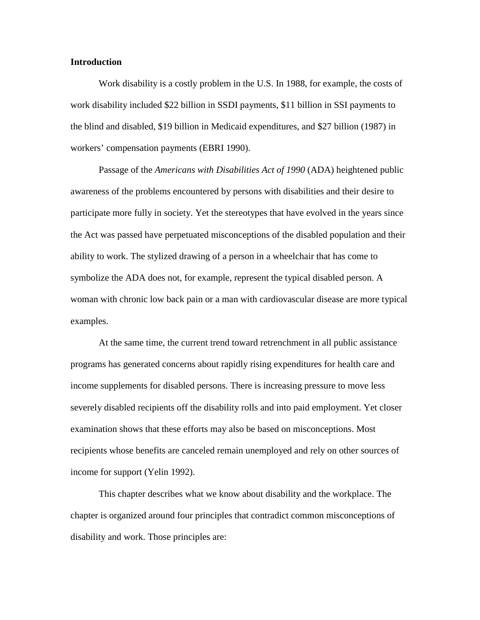# **Introduction**

 Work disability is a costly problem in the U.S. In 1988, for example, the costs of work disability included \$22 billion in SSDI payments, \$11 billion in SSI payments to the blind and disabled, \$19 billion in Medicaid expenditures, and \$27 billion (1987) in workers' compensation payments (EBRI 1990).

 Passage of the *Americans with Disabilities Act of 1990* (ADA) heightened public awareness of the problems encountered by persons with disabilities and their desire to participate more fully in society. Yet the stereotypes that have evolved in the years since the Act was passed have perpetuated misconceptions of the disabled population and their ability to work. The stylized drawing of a person in a wheelchair that has come to symbolize the ADA does not, for example, represent the typical disabled person. A woman with chronic low back pain or a man with cardiovascular disease are more typical examples.

 At the same time, the current trend toward retrenchment in all public assistance programs has generated concerns about rapidly rising expenditures for health care and income supplements for disabled persons. There is increasing pressure to move less severely disabled recipients off the disability rolls and into paid employment. Yet closer examination shows that these efforts may also be based on misconceptions. Most recipients whose benefits are canceled remain unemployed and rely on other sources of income for support (Yelin 1992).

 This chapter describes what we know about disability and the workplace. The chapter is organized around four principles that contradict common misconceptions of disability and work. Those principles are: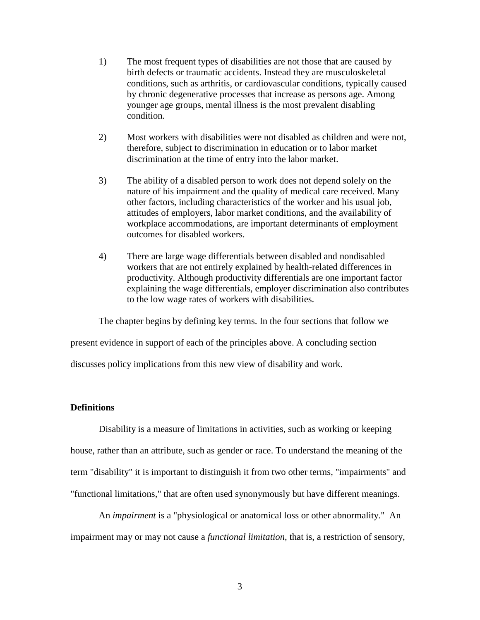- 1) The most frequent types of disabilities are not those that are caused by birth defects or traumatic accidents. Instead they are musculoskeletal conditions, such as arthritis, or cardiovascular conditions, typically caused by chronic degenerative processes that increase as persons age. Among younger age groups, mental illness is the most prevalent disabling condition.
- 2) Most workers with disabilities were not disabled as children and were not, therefore, subject to discrimination in education or to labor market discrimination at the time of entry into the labor market.
- 3) The ability of a disabled person to work does not depend solely on the nature of his impairment and the quality of medical care received. Many other factors, including characteristics of the worker and his usual job, attitudes of employers, labor market conditions, and the availability of workplace accommodations, are important determinants of employment outcomes for disabled workers.
- 4) There are large wage differentials between disabled and nondisabled workers that are not entirely explained by health-related differences in productivity. Although productivity differentials are one important factor explaining the wage differentials, employer discrimination also contributes to the low wage rates of workers with disabilities.

The chapter begins by defining key terms. In the four sections that follow we

present evidence in support of each of the principles above. A concluding section

discusses policy implications from this new view of disability and work.

#### **Definitions**

 Disability is a measure of limitations in activities, such as working or keeping house, rather than an attribute, such as gender or race. To understand the meaning of the term "disability" it is important to distinguish it from two other terms, "impairments" and "functional limitations," that are often used synonymously but have different meanings.

 An *impairment* is a "physiological or anatomical loss or other abnormality." An impairment may or may not cause a *functional limitation*, that is, a restriction of sensory,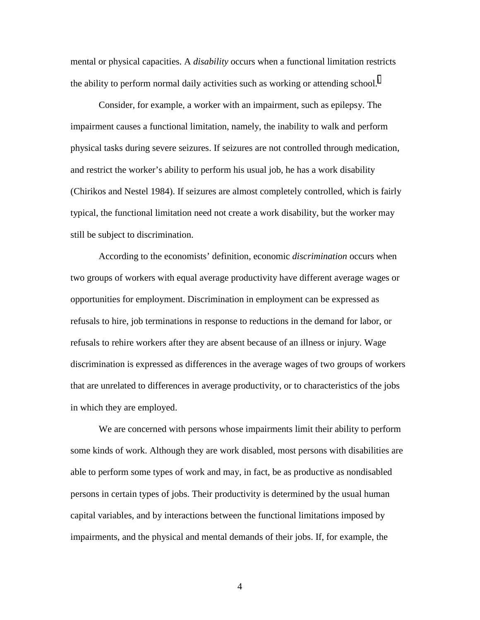mental or physical capacities. A *disability* occurs when a functional limitation restricts the ab[i](#page-31-0)lity to perform normal daily activities such as working or attending school.<sup>1</sup>

 Consider, for example, a worker with an impairment, such as epilepsy. The impairment causes a functional limitation, namely, the inability to walk and perform physical tasks during severe seizures. If seizures are not controlled through medication, and restrict the worker's ability to perform his usual job, he has a work disability (Chirikos and Nestel 1984). If seizures are almost completely controlled, which is fairly typical, the functional limitation need not create a work disability, but the worker may still be subject to discrimination.

 According to the economists' definition, economic *discrimination* occurs when two groups of workers with equal average productivity have different average wages or opportunities for employment. Discrimination in employment can be expressed as refusals to hire, job terminations in response to reductions in the demand for labor, or refusals to rehire workers after they are absent because of an illness or injury. Wage discrimination is expressed as differences in the average wages of two groups of workers that are unrelated to differences in average productivity, or to characteristics of the jobs in which they are employed.

 We are concerned with persons whose impairments limit their ability to perform some kinds of work. Although they are work disabled, most persons with disabilities are able to perform some types of work and may, in fact, be as productive as nondisabled persons in certain types of jobs. Their productivity is determined by the usual human capital variables, and by interactions between the functional limitations imposed by impairments, and the physical and mental demands of their jobs. If, for example, the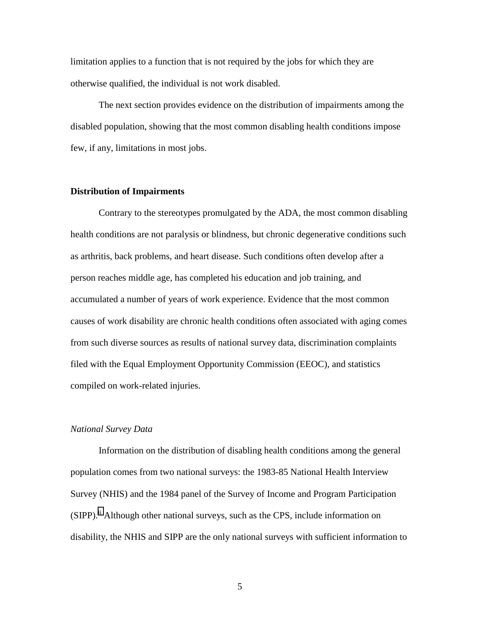limitation applies to a function that is not required by the jobs for which they are otherwise qualified, the individual is not work disabled.

 The next section provides evidence on the distribution of impairments among the disabled population, showing that the most common disabling health conditions impose few, if any, limitations in most jobs.

# **Distribution of Impairments**

 Contrary to the stereotypes promulgated by the ADA, the most common disabling health conditions are not paralysis or blindness, but chronic degenerative conditions such as arthritis, back problems, and heart disease. Such conditions often develop after a person reaches middle age, has completed his education and job training, and accumulated a number of years of work experience. Evidence that the most common causes of work disability are chronic health conditions often associated with aging comes from such diverse sources as results of national survey data, discrimination complaints filed with the Equal Employment Opportunity Commission (EEOC), and statistics compiled on work-related injuries.

#### *National Survey Data*

 Information on the distribution of disabling health conditions among the general population comes from two national surveys: the 1983-85 National Health Interview Survey (NHIS) and the 1984 panel of the Survey of Income and Program Participation  $(SIPP).$ <sup>ii</sup> Although other national surveys, such as the CPS, include information on disability, the NHIS and SIPP are the only national surveys with sufficient information to

 $\overline{5}$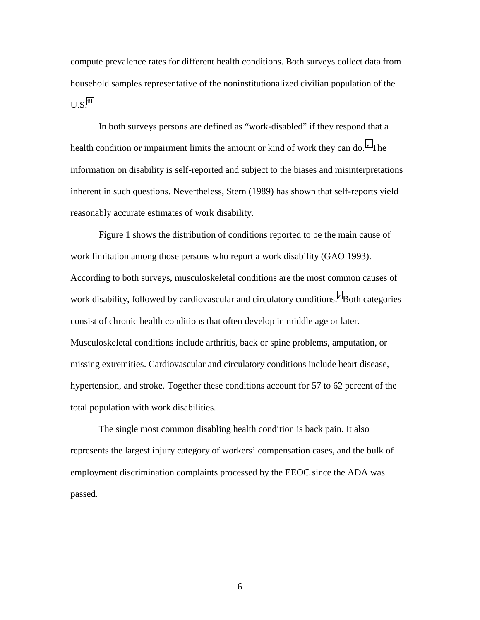compute prevalence rates for different health conditions. Both surveys collect data from household samples representative of the noninstitutionalized civilian population of the  $U.S.<sup>iii</sup>$  $U.S.<sup>iii</sup>$  $U.S.<sup>iii</sup>$ 

 In both surveys persons are defined as "work-disabled" if they respond that a health condition or impairment limits the amount or kind of work they can do.<sup> $\nu$ </sup> The information on disability is self-reported and subject to the biases and misinterpretations inherent in such questions. Nevertheless, Stern (1989) has shown that self-reports yield reasonably accurate estimates of work disability.

 Figure 1 shows the distribution of conditions reported to be the main cause of work limitation among those persons who report a work disability (GAO 1993). According to both surveys, musculoskeletal conditions are the most common causes of work disability, followed by cardio[v](#page-31-0)ascular and circulatory conditions.<sup>v</sup> Both categories consist of chronic health conditions that often develop in middle age or later. Musculoskeletal conditions include arthritis, back or spine problems, amputation, or missing extremities. Cardiovascular and circulatory conditions include heart disease, hypertension, and stroke. Together these conditions account for 57 to 62 percent of the total population with work disabilities.

 The single most common disabling health condition is back pain. It also represents the largest injury category of workers' compensation cases, and the bulk of employment discrimination complaints processed by the EEOC since the ADA was passed.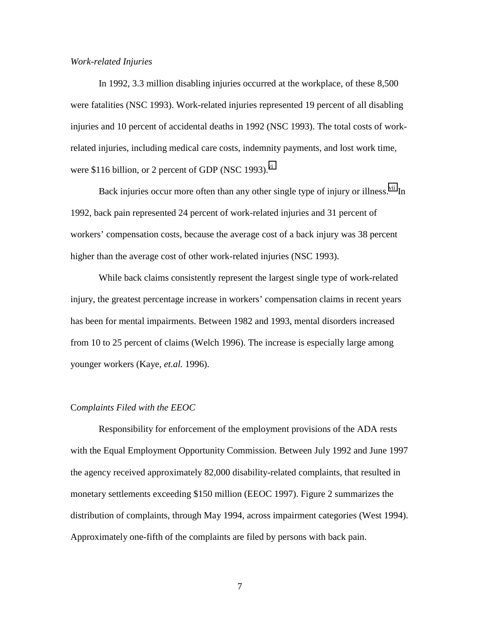# *Work-related Injuries*

In 1992, 3.3 million disabling injuries occurred at the workplace, of these 8,500 were fatalities (NSC 1993). Work-related injuries represented 19 percent of all disabling injuries and 10 percent of accidental deaths in 1992 (NSC 1993). The total costs of workrelated injuries, including medical care costs, indemnity payments, and lost work time, were \$116 billion, or 2 percent of GDP (NSC 1993). $\overline{v}$ 

Back injuries occur more often than any other single type of injury or illness.<sup>vii</sup> In 1992, back pain represented 24 percent of work-related injuries and 31 percent of workers' compensation costs, because the average cost of a back injury was 38 percent higher than the average cost of other work-related injuries (NSC 1993).

 While back claims consistently represent the largest single type of work-related injury, the greatest percentage increase in workers' compensation claims in recent years has been for mental impairments. Between 1982 and 1993, mental disorders increased from 10 to 25 percent of claims (Welch 1996). The increase is especially large among younger workers (Kaye, *et.al.* 1996).

#### C*omplaints Filed with the EEOC*

 Responsibility for enforcement of the employment provisions of the ADA rests with the Equal Employment Opportunity Commission. Between July 1992 and June 1997 the agency received approximately 82,000 disability-related complaints, that resulted in monetary settlements exceeding \$150 million (EEOC 1997). Figure 2 summarizes the distribution of complaints, through May 1994, across impairment categories (West 1994). Approximately one-fifth of the complaints are filed by persons with back pain.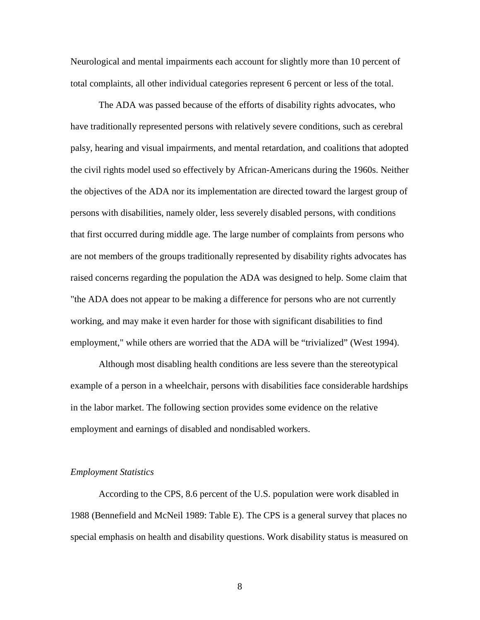Neurological and mental impairments each account for slightly more than 10 percent of total complaints, all other individual categories represent 6 percent or less of the total.

 The ADA was passed because of the efforts of disability rights advocates, who have traditionally represented persons with relatively severe conditions, such as cerebral palsy, hearing and visual impairments, and mental retardation, and coalitions that adopted the civil rights model used so effectively by African-Americans during the 1960s. Neither the objectives of the ADA nor its implementation are directed toward the largest group of persons with disabilities, namely older, less severely disabled persons, with conditions that first occurred during middle age. The large number of complaints from persons who are not members of the groups traditionally represented by disability rights advocates has raised concerns regarding the population the ADA was designed to help. Some claim that "the ADA does not appear to be making a difference for persons who are not currently working, and may make it even harder for those with significant disabilities to find employment," while others are worried that the ADA will be "trivialized" (West 1994).

 Although most disabling health conditions are less severe than the stereotypical example of a person in a wheelchair, persons with disabilities face considerable hardships in the labor market. The following section provides some evidence on the relative employment and earnings of disabled and nondisabled workers.

## *Employment Statistics*

According to the CPS, 8.6 percent of the U.S. population were work disabled in 1988 (Bennefield and McNeil 1989: Table E). The CPS is a general survey that places no special emphasis on health and disability questions. Work disability status is measured on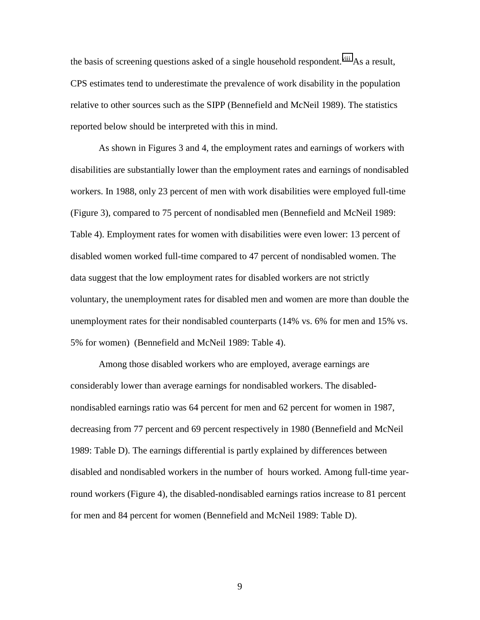the basis of screening questions asked of a single household respondent.<sup>viii</sup> As a result, CPS estimates tend to underestimate the prevalence of work disability in the population relative to other sources such as the SIPP (Bennefield and McNeil 1989). The statistics reported below should be interpreted with this in mind.

 As shown in Figures 3 and 4, the employment rates and earnings of workers with disabilities are substantially lower than the employment rates and earnings of nondisabled workers. In 1988, only 23 percent of men with work disabilities were employed full-time (Figure 3), compared to 75 percent of nondisabled men (Bennefield and McNeil 1989: Table 4). Employment rates for women with disabilities were even lower: 13 percent of disabled women worked full-time compared to 47 percent of nondisabled women. The data suggest that the low employment rates for disabled workers are not strictly voluntary, the unemployment rates for disabled men and women are more than double the unemployment rates for their nondisabled counterparts (14% vs. 6% for men and 15% vs. 5% for women) (Bennefield and McNeil 1989: Table 4).

 Among those disabled workers who are employed, average earnings are considerably lower than average earnings for nondisabled workers. The disablednondisabled earnings ratio was 64 percent for men and 62 percent for women in 1987, decreasing from 77 percent and 69 percent respectively in 1980 (Bennefield and McNeil 1989: Table D). The earnings differential is partly explained by differences between disabled and nondisabled workers in the number of hours worked. Among full-time yearround workers (Figure 4), the disabled-nondisabled earnings ratios increase to 81 percent for men and 84 percent for women (Bennefield and McNeil 1989: Table D).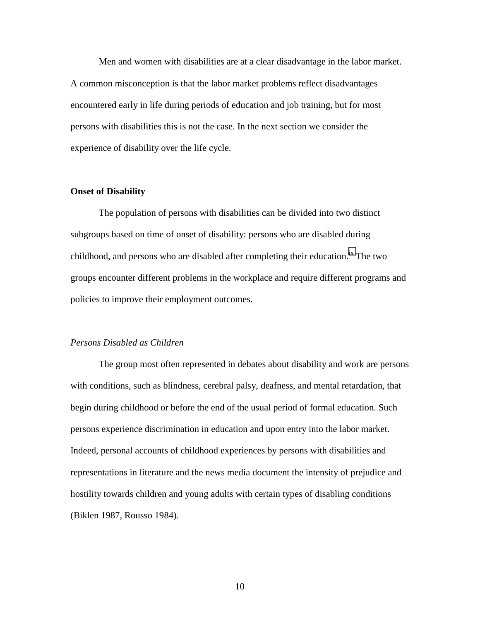Men and women with disabilities are at a clear disadvantage in the labor market. A common misconception is that the labor market problems reflect disadvantages encountered early in life during periods of education and job training, but for most persons with disabilities this is not the case. In the next section we consider the experience of disability over the life cycle.

## **Onset of Disability**

 The population of persons with disabilities can be divided into two distinct subgroups based on time of onset of disability: persons who are disabled during childhood, and persons who are disabled after completing their education.<sup>ix</sup> The two groups encounter different problems in the workplace and require different programs and policies to improve their employment outcomes.

## *Persons Disabled as Children*

 The group most often represented in debates about disability and work are persons with conditions, such as blindness, cerebral palsy, deafness, and mental retardation, that begin during childhood or before the end of the usual period of formal education. Such persons experience discrimination in education and upon entry into the labor market. Indeed, personal accounts of childhood experiences by persons with disabilities and representations in literature and the news media document the intensity of prejudice and hostility towards children and young adults with certain types of disabling conditions (Biklen 1987, Rousso 1984).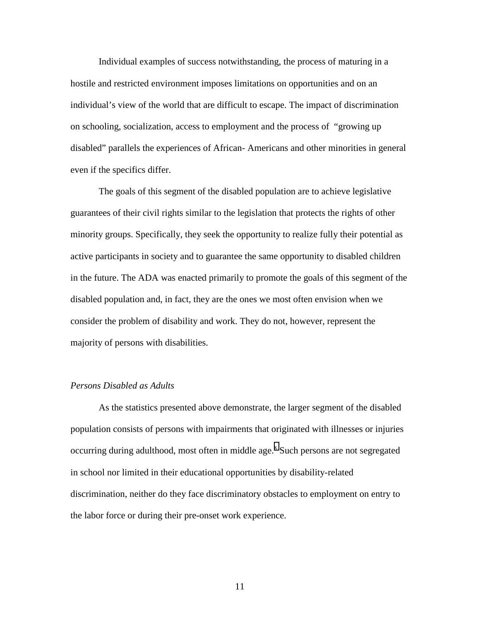Individual examples of success notwithstanding, the process of maturing in a hostile and restricted environment imposes limitations on opportunities and on an individual's view of the world that are difficult to escape. The impact of discrimination on schooling, socialization, access to employment and the process of "growing up disabled" parallels the experiences of African- Americans and other minorities in general even if the specifics differ.

 The goals of this segment of the disabled population are to achieve legislative guarantees of their civil rights similar to the legislation that protects the rights of other minority groups. Specifically, they seek the opportunity to realize fully their potential as active participants in society and to guarantee the same opportunity to disabled children in the future. The ADA was enacted primarily to promote the goals of this segment of the disabled population and, in fact, they are the ones we most often envision when we consider the problem of disability and work. They do not, however, represent the majority of persons with disabilities.

# *Persons Disabled as Adults*

 As the statistics presented above demonstrate, the larger segment of the disabled population consists of persons with impairments that originated with illnesses or injuries occurring during adulthood, most often in middle age. $^x$  $^x$  Such persons are not segregated in school nor limited in their educational opportunities by disability-related discrimination, neither do they face discriminatory obstacles to employment on entry to the labor force or during their pre-onset work experience.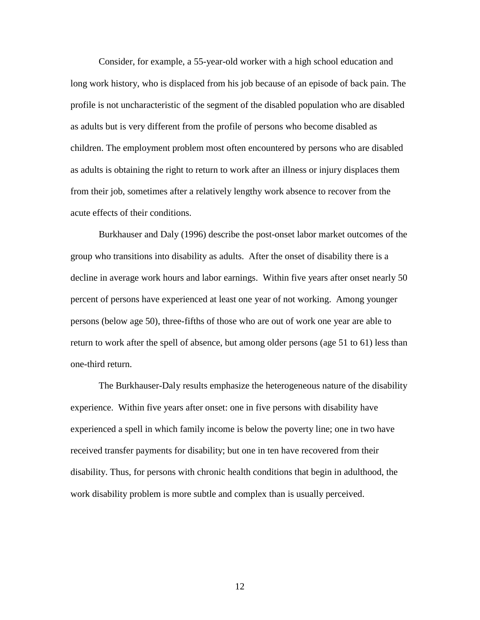Consider, for example, a 55-year-old worker with a high school education and long work history, who is displaced from his job because of an episode of back pain. The profile is not uncharacteristic of the segment of the disabled population who are disabled as adults but is very different from the profile of persons who become disabled as children. The employment problem most often encountered by persons who are disabled as adults is obtaining the right to return to work after an illness or injury displaces them from their job, sometimes after a relatively lengthy work absence to recover from the acute effects of their conditions.

 Burkhauser and Daly (1996) describe the post-onset labor market outcomes of the group who transitions into disability as adults. After the onset of disability there is a decline in average work hours and labor earnings. Within five years after onset nearly 50 percent of persons have experienced at least one year of not working. Among younger persons (below age 50), three-fifths of those who are out of work one year are able to return to work after the spell of absence, but among older persons (age 51 to 61) less than one-third return.

 The Burkhauser-Daly results emphasize the heterogeneous nature of the disability experience. Within five years after onset: one in five persons with disability have experienced a spell in which family income is below the poverty line; one in two have received transfer payments for disability; but one in ten have recovered from their disability. Thus, for persons with chronic health conditions that begin in adulthood, the work disability problem is more subtle and complex than is usually perceived.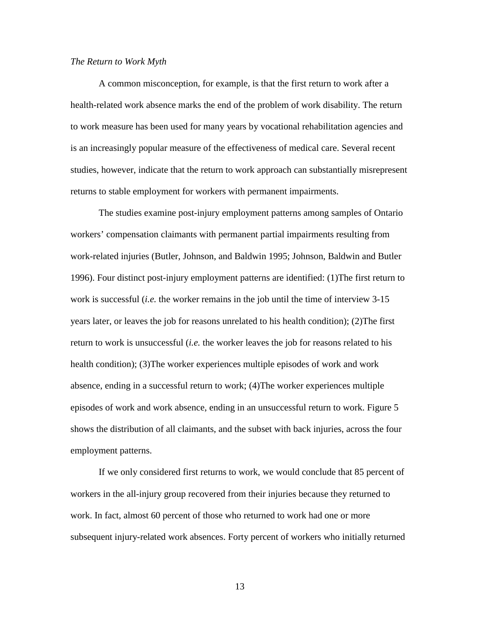#### *The Return to Work Myth*

 A common misconception, for example, is that the first return to work after a health-related work absence marks the end of the problem of work disability. The return to work measure has been used for many years by vocational rehabilitation agencies and is an increasingly popular measure of the effectiveness of medical care. Several recent studies, however, indicate that the return to work approach can substantially misrepresent returns to stable employment for workers with permanent impairments.

 The studies examine post-injury employment patterns among samples of Ontario workers' compensation claimants with permanent partial impairments resulting from work-related injuries (Butler, Johnson, and Baldwin 1995; Johnson, Baldwin and Butler 1996). Four distinct post-injury employment patterns are identified: (1)The first return to work is successful (*i.e.* the worker remains in the job until the time of interview 3-15 years later, or leaves the job for reasons unrelated to his health condition); (2)The first return to work is unsuccessful (*i.e.* the worker leaves the job for reasons related to his health condition); (3)The worker experiences multiple episodes of work and work absence, ending in a successful return to work; (4)The worker experiences multiple episodes of work and work absence, ending in an unsuccessful return to work. Figure 5 shows the distribution of all claimants, and the subset with back injuries, across the four employment patterns.

 If we only considered first returns to work, we would conclude that 85 percent of workers in the all-injury group recovered from their injuries because they returned to work. In fact, almost 60 percent of those who returned to work had one or more subsequent injury-related work absences. Forty percent of workers who initially returned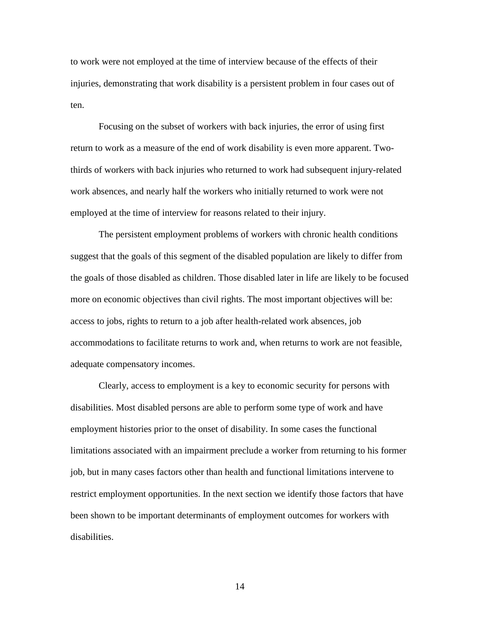to work were not employed at the time of interview because of the effects of their injuries, demonstrating that work disability is a persistent problem in four cases out of ten.

 Focusing on the subset of workers with back injuries, the error of using first return to work as a measure of the end of work disability is even more apparent. Twothirds of workers with back injuries who returned to work had subsequent injury-related work absences, and nearly half the workers who initially returned to work were not employed at the time of interview for reasons related to their injury.

 The persistent employment problems of workers with chronic health conditions suggest that the goals of this segment of the disabled population are likely to differ from the goals of those disabled as children. Those disabled later in life are likely to be focused more on economic objectives than civil rights. The most important objectives will be: access to jobs, rights to return to a job after health-related work absences, job accommodations to facilitate returns to work and, when returns to work are not feasible, adequate compensatory incomes.

 Clearly, access to employment is a key to economic security for persons with disabilities. Most disabled persons are able to perform some type of work and have employment histories prior to the onset of disability. In some cases the functional limitations associated with an impairment preclude a worker from returning to his former job, but in many cases factors other than health and functional limitations intervene to restrict employment opportunities. In the next section we identify those factors that have been shown to be important determinants of employment outcomes for workers with disabilities.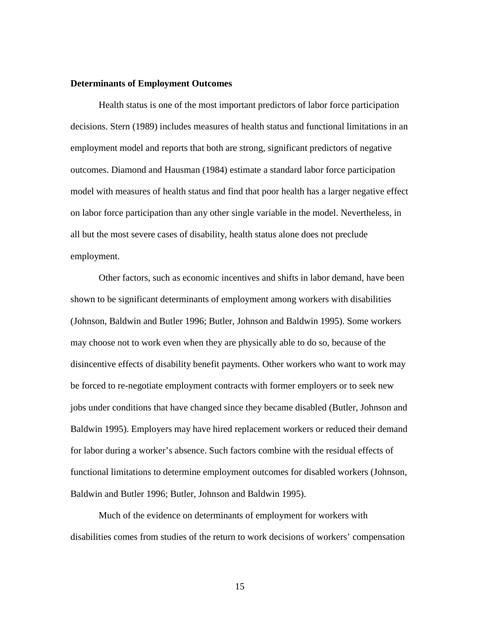# **Determinants of Employment Outcomes**

 Health status is one of the most important predictors of labor force participation decisions. Stern (1989) includes measures of health status and functional limitations in an employment model and reports that both are strong, significant predictors of negative outcomes. Diamond and Hausman (1984) estimate a standard labor force participation model with measures of health status and find that poor health has a larger negative effect on labor force participation than any other single variable in the model. Nevertheless, in all but the most severe cases of disability, health status alone does not preclude employment.

 Other factors, such as economic incentives and shifts in labor demand, have been shown to be significant determinants of employment among workers with disabilities (Johnson, Baldwin and Butler 1996; Butler, Johnson and Baldwin 1995). Some workers may choose not to work even when they are physically able to do so, because of the disincentive effects of disability benefit payments. Other workers who want to work may be forced to re-negotiate employment contracts with former employers or to seek new jobs under conditions that have changed since they became disabled (Butler, Johnson and Baldwin 1995). Employers may have hired replacement workers or reduced their demand for labor during a worker's absence. Such factors combine with the residual effects of functional limitations to determine employment outcomes for disabled workers (Johnson, Baldwin and Butler 1996; Butler, Johnson and Baldwin 1995).

 Much of the evidence on determinants of employment for workers with disabilities comes from studies of the return to work decisions of workers' compensation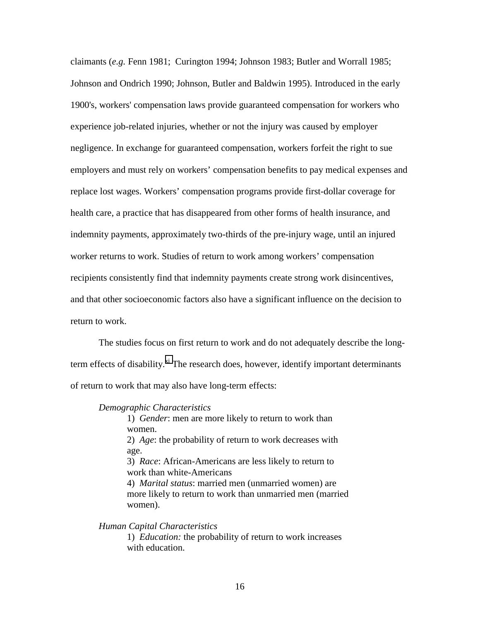claimants (*e.g.* Fenn 1981; Curington 1994; Johnson 1983; Butler and Worrall 1985; Johnson and Ondrich 1990; Johnson, Butler and Baldwin 1995). Introduced in the early 1900's, workers' compensation laws provide guaranteed compensation for workers who experience job-related injuries, whether or not the injury was caused by employer negligence. In exchange for guaranteed compensation, workers forfeit the right to sue employers and must rely on workers' compensation benefits to pay medical expenses and replace lost wages. Workers' compensation programs provide first-dollar coverage for health care, a practice that has disappeared from other forms of health insurance, and indemnity payments, approximately two-thirds of the pre-injury wage, until an injured worker returns to work. Studies of return to work among workers' compensation recipients consistently find that indemnity payments create strong work disincentives, and that other socioeconomic factors also have a significant influence on the decision to return to work.

 The studies focus on first return to work and do not adequately describe the longterm effects of disability. $x_i$  The research does, however, identify important determinants of return to work that may also have long-term effects:

#### *Demographic Characteristics*

1) *Gender*: men are more likely to return to work than women. 2) *Age*: the probability of return to work decreases with age. 3) *Race*: African-Americans are less likely to return to work than white-Americans 4) *Marital status*: married men (unmarried women) are more likely to return to work than unmarried men (married women).

*Human Capital Characteristics*

1) *Education:* the probability of return to work increases with education.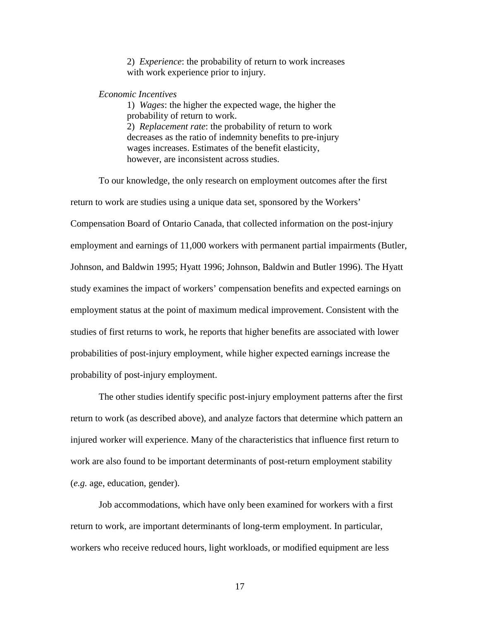2) *Experience*: the probability of return to work increases with work experience prior to injury.

# *Economic Incentives*

1) *Wages*: the higher the expected wage, the higher the probability of return to work. 2) *Replacement rate*: the probability of return to work decreases as the ratio of indemnity benefits to pre-injury wages increases. Estimates of the benefit elasticity, however, are inconsistent across studies.

 To our knowledge, the only research on employment outcomes after the first return to work are studies using a unique data set, sponsored by the Workers' Compensation Board of Ontario Canada, that collected information on the post-injury employment and earnings of 11,000 workers with permanent partial impairments (Butler, Johnson, and Baldwin 1995; Hyatt 1996; Johnson, Baldwin and Butler 1996). The Hyatt study examines the impact of workers' compensation benefits and expected earnings on employment status at the point of maximum medical improvement. Consistent with the studies of first returns to work, he reports that higher benefits are associated with lower probabilities of post-injury employment, while higher expected earnings increase the probability of post-injury employment.

 The other studies identify specific post-injury employment patterns after the first return to work (as described above), and analyze factors that determine which pattern an injured worker will experience. Many of the characteristics that influence first return to work are also found to be important determinants of post-return employment stability (*e.g.* age, education, gender).

 Job accommodations, which have only been examined for workers with a first return to work, are important determinants of long-term employment. In particular, workers who receive reduced hours, light workloads, or modified equipment are less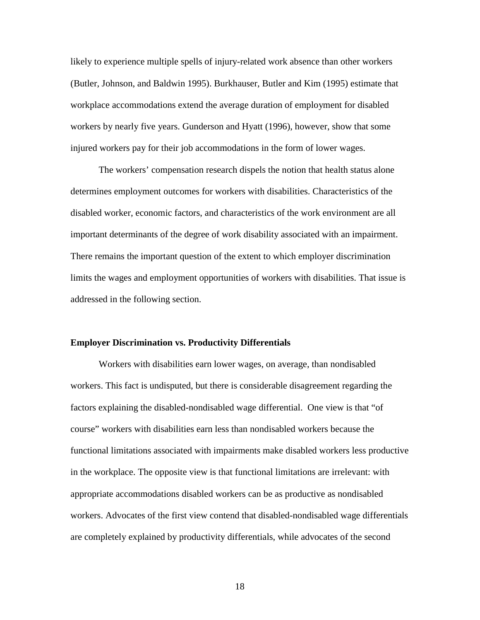likely to experience multiple spells of injury-related work absence than other workers (Butler, Johnson, and Baldwin 1995). Burkhauser, Butler and Kim (1995) estimate that workplace accommodations extend the average duration of employment for disabled workers by nearly five years. Gunderson and Hyatt (1996), however, show that some injured workers pay for their job accommodations in the form of lower wages.

 The workers' compensation research dispels the notion that health status alone determines employment outcomes for workers with disabilities. Characteristics of the disabled worker, economic factors, and characteristics of the work environment are all important determinants of the degree of work disability associated with an impairment. There remains the important question of the extent to which employer discrimination limits the wages and employment opportunities of workers with disabilities. That issue is addressed in the following section.

#### **Employer Discrimination vs. Productivity Differentials**

 Workers with disabilities earn lower wages, on average, than nondisabled workers. This fact is undisputed, but there is considerable disagreement regarding the factors explaining the disabled-nondisabled wage differential. One view is that "of course" workers with disabilities earn less than nondisabled workers because the functional limitations associated with impairments make disabled workers less productive in the workplace. The opposite view is that functional limitations are irrelevant: with appropriate accommodations disabled workers can be as productive as nondisabled workers. Advocates of the first view contend that disabled-nondisabled wage differentials are completely explained by productivity differentials, while advocates of the second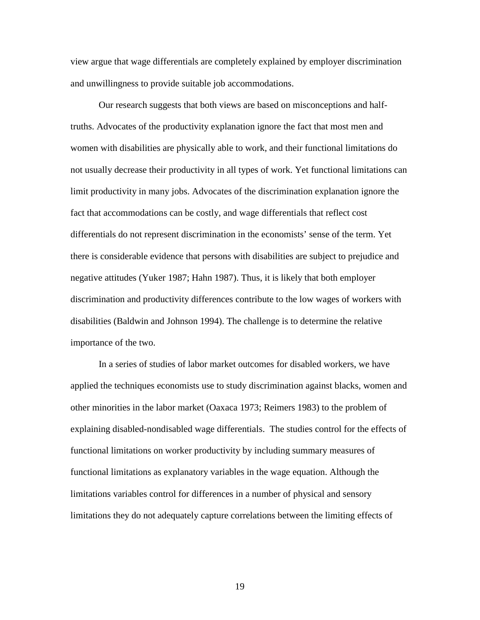view argue that wage differentials are completely explained by employer discrimination and unwillingness to provide suitable job accommodations.

 Our research suggests that both views are based on misconceptions and halftruths. Advocates of the productivity explanation ignore the fact that most men and women with disabilities are physically able to work, and their functional limitations do not usually decrease their productivity in all types of work. Yet functional limitations can limit productivity in many jobs. Advocates of the discrimination explanation ignore the fact that accommodations can be costly, and wage differentials that reflect cost differentials do not represent discrimination in the economists' sense of the term. Yet there is considerable evidence that persons with disabilities are subject to prejudice and negative attitudes (Yuker 1987; Hahn 1987). Thus, it is likely that both employer discrimination and productivity differences contribute to the low wages of workers with disabilities (Baldwin and Johnson 1994). The challenge is to determine the relative importance of the two.

 In a series of studies of labor market outcomes for disabled workers, we have applied the techniques economists use to study discrimination against blacks, women and other minorities in the labor market (Oaxaca 1973; Reimers 1983) to the problem of explaining disabled-nondisabled wage differentials. The studies control for the effects of functional limitations on worker productivity by including summary measures of functional limitations as explanatory variables in the wage equation. Although the limitations variables control for differences in a number of physical and sensory limitations they do not adequately capture correlations between the limiting effects of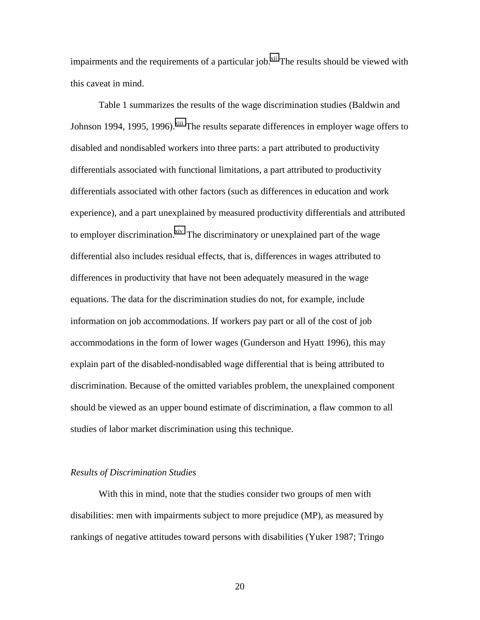impairments and the requirements of a particular job.<sup>xii</sup> The results should be viewed with this caveat in mind.

 Table 1 summarizes the results of the wage discrimination studies (Baldwin and Johnson 1994, 1995, 1996).<sup>xiii</sup> The results separate differences in employer wage offers to disabled and nondisabled workers into three parts: a part attributed to productivity differentials associated with functional limitations, a part attributed to productivity differentials associated with other factors (such as differences in education and work experience), and a part unexplained by measured productivity differentials and attributed to employer discrimination.<sup>xiv</sup> The discriminatory or unexplained part of the wage differential also includes residual effects, that is, differences in wages attributed to differences in productivity that have not been adequately measured in the wage equations. The data for the discrimination studies do not, for example, include information on job accommodations. If workers pay part or all of the cost of job accommodations in the form of lower wages (Gunderson and Hyatt 1996), this may explain part of the disabled-nondisabled wage differential that is being attributed to discrimination. Because of the omitted variables problem, the unexplained component should be viewed as an upper bound estimate of discrimination, a flaw common to all studies of labor market discrimination using this technique.

# *Results of Discrimination Studies*

 With this in mind, note that the studies consider two groups of men with disabilities: men with impairments subject to more prejudice (MP), as measured by rankings of negative attitudes toward persons with disabilities (Yuker 1987; Tringo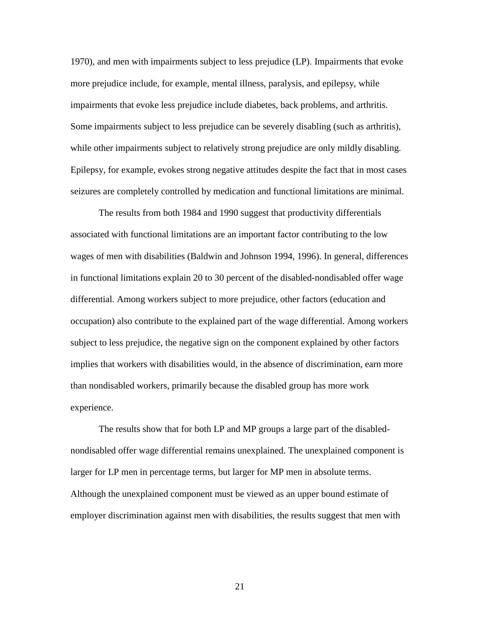1970), and men with impairments subject to less prejudice (LP). Impairments that evoke more prejudice include, for example, mental illness, paralysis, and epilepsy, while impairments that evoke less prejudice include diabetes, back problems, and arthritis. Some impairments subject to less prejudice can be severely disabling (such as arthritis), while other impairments subject to relatively strong prejudice are only mildly disabling. Epilepsy, for example, evokes strong negative attitudes despite the fact that in most cases seizures are completely controlled by medication and functional limitations are minimal.

 The results from both 1984 and 1990 suggest that productivity differentials associated with functional limitations are an important factor contributing to the low wages of men with disabilities (Baldwin and Johnson 1994, 1996). In general, differences in functional limitations explain 20 to 30 percent of the disabled-nondisabled offer wage differential. Among workers subject to more prejudice, other factors (education and occupation) also contribute to the explained part of the wage differential. Among workers subject to less prejudice, the negative sign on the component explained by other factors implies that workers with disabilities would, in the absence of discrimination, earn more than nondisabled workers, primarily because the disabled group has more work experience.

 The results show that for both LP and MP groups a large part of the disablednondisabled offer wage differential remains unexplained. The unexplained component is larger for LP men in percentage terms, but larger for MP men in absolute terms. Although the unexplained component must be viewed as an upper bound estimate of employer discrimination against men with disabilities, the results suggest that men with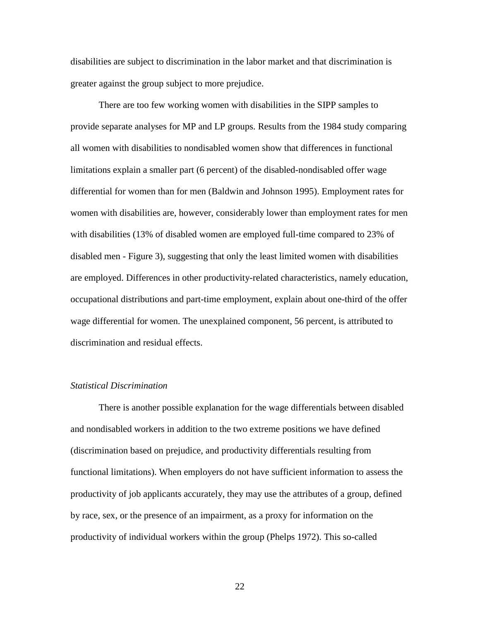disabilities are subject to discrimination in the labor market and that discrimination is greater against the group subject to more prejudice.

 There are too few working women with disabilities in the SIPP samples to provide separate analyses for MP and LP groups. Results from the 1984 study comparing all women with disabilities to nondisabled women show that differences in functional limitations explain a smaller part (6 percent) of the disabled-nondisabled offer wage differential for women than for men (Baldwin and Johnson 1995). Employment rates for women with disabilities are, however, considerably lower than employment rates for men with disabilities (13% of disabled women are employed full-time compared to 23% of disabled men - Figure 3), suggesting that only the least limited women with disabilities are employed. Differences in other productivity-related characteristics, namely education, occupational distributions and part-time employment, explain about one-third of the offer wage differential for women. The unexplained component, 56 percent, is attributed to discrimination and residual effects.

# *Statistical Discrimination*

 There is another possible explanation for the wage differentials between disabled and nondisabled workers in addition to the two extreme positions we have defined (discrimination based on prejudice, and productivity differentials resulting from functional limitations). When employers do not have sufficient information to assess the productivity of job applicants accurately, they may use the attributes of a group, defined by race, sex, or the presence of an impairment, as a proxy for information on the productivity of individual workers within the group (Phelps 1972). This so-called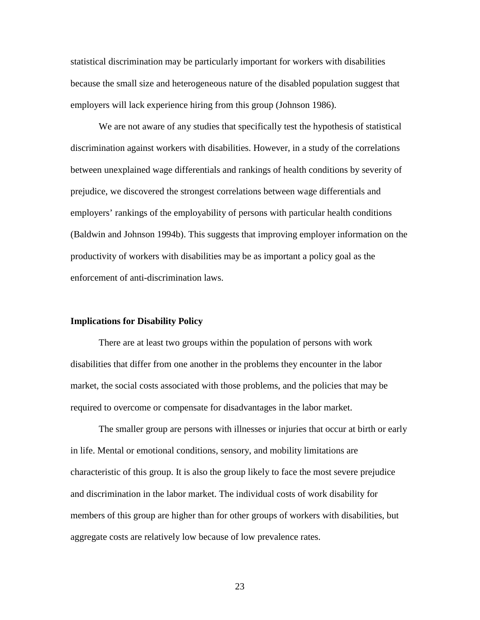statistical discrimination may be particularly important for workers with disabilities because the small size and heterogeneous nature of the disabled population suggest that employers will lack experience hiring from this group (Johnson 1986).

 We are not aware of any studies that specifically test the hypothesis of statistical discrimination against workers with disabilities. However, in a study of the correlations between unexplained wage differentials and rankings of health conditions by severity of prejudice, we discovered the strongest correlations between wage differentials and employers' rankings of the employability of persons with particular health conditions (Baldwin and Johnson 1994b). This suggests that improving employer information on the productivity of workers with disabilities may be as important a policy goal as the enforcement of anti-discrimination laws.

## **Implications for Disability Policy**

 There are at least two groups within the population of persons with work disabilities that differ from one another in the problems they encounter in the labor market, the social costs associated with those problems, and the policies that may be required to overcome or compensate for disadvantages in the labor market.

 The smaller group are persons with illnesses or injuries that occur at birth or early in life. Mental or emotional conditions, sensory, and mobility limitations are characteristic of this group. It is also the group likely to face the most severe prejudice and discrimination in the labor market. The individual costs of work disability for members of this group are higher than for other groups of workers with disabilities, but aggregate costs are relatively low because of low prevalence rates.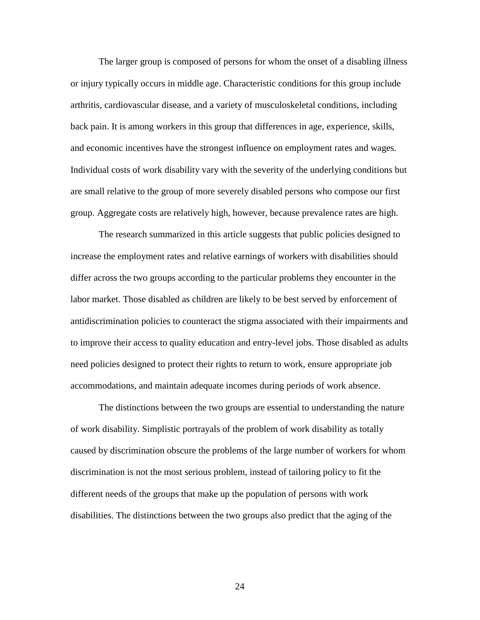The larger group is composed of persons for whom the onset of a disabling illness or injury typically occurs in middle age. Characteristic conditions for this group include arthritis, cardiovascular disease, and a variety of musculoskeletal conditions, including back pain. It is among workers in this group that differences in age, experience, skills, and economic incentives have the strongest influence on employment rates and wages. Individual costs of work disability vary with the severity of the underlying conditions but are small relative to the group of more severely disabled persons who compose our first group. Aggregate costs are relatively high, however, because prevalence rates are high.

 The research summarized in this article suggests that public policies designed to increase the employment rates and relative earnings of workers with disabilities should differ across the two groups according to the particular problems they encounter in the labor market. Those disabled as children are likely to be best served by enforcement of antidiscrimination policies to counteract the stigma associated with their impairments and to improve their access to quality education and entry-level jobs. Those disabled as adults need policies designed to protect their rights to return to work, ensure appropriate job accommodations, and maintain adequate incomes during periods of work absence.

 The distinctions between the two groups are essential to understanding the nature of work disability. Simplistic portrayals of the problem of work disability as totally caused by discrimination obscure the problems of the large number of workers for whom discrimination is not the most serious problem, instead of tailoring policy to fit the different needs of the groups that make up the population of persons with work disabilities. The distinctions between the two groups also predict that the aging of the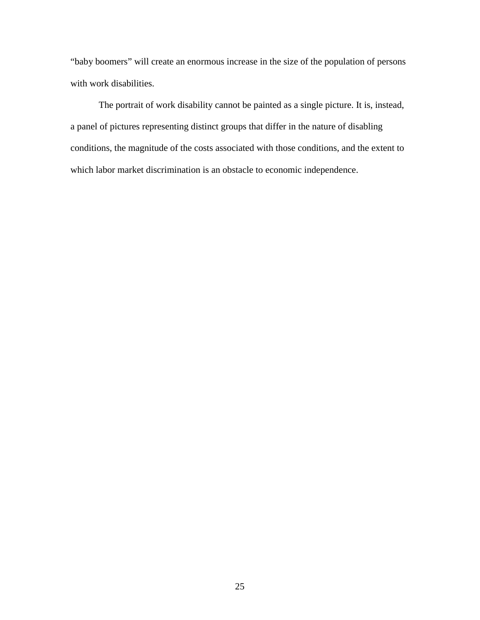"baby boomers" will create an enormous increase in the size of the population of persons with work disabilities.

 The portrait of work disability cannot be painted as a single picture. It is, instead, a panel of pictures representing distinct groups that differ in the nature of disabling conditions, the magnitude of the costs associated with those conditions, and the extent to which labor market discrimination is an obstacle to economic independence.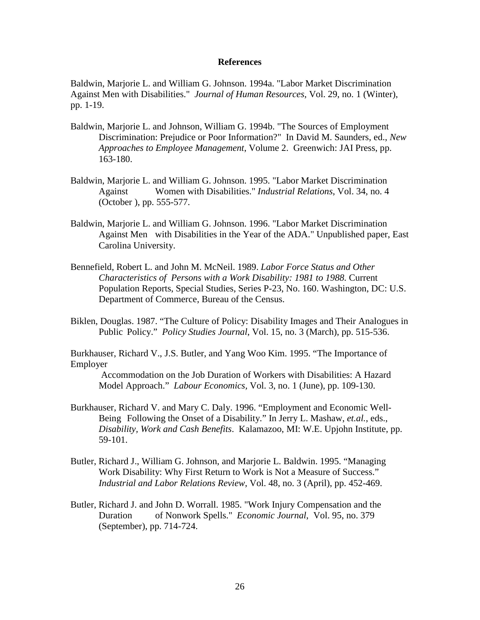## **References**

Baldwin, Marjorie L. and William G. Johnson. 1994a. "Labor Market Discrimination Against Men with Disabilities." *Journal of Human Resources*, Vol. 29, no. 1 (Winter), pp. 1-19.

- Baldwin, Marjorie L. and Johnson, William G. 1994b. "The Sources of Employment Discrimination: Prejudice or Poor Information?" In David M. Saunders, ed., *New Approaches to Employee Management*, Volume 2. Greenwich: JAI Press, pp. 163-180.
- Baldwin, Marjorie L. and William G. Johnson. 1995. "Labor Market Discrimination Against Women with Disabilities." *Industrial Relations*, Vol. 34, no. 4 (October ), pp. 555-577.
- Baldwin, Marjorie L. and William G. Johnson. 1996. "Labor Market Discrimination Against Men with Disabilities in the Year of the ADA." Unpublished paper, East Carolina University.
- Bennefield, Robert L. and John M. McNeil. 1989. *Labor Force Status and Other Characteristics of Persons with a Work Disability: 1981 to 1988.* Current Population Reports, Special Studies, Series P-23, No. 160. Washington, DC: U.S. Department of Commerce, Bureau of the Census.
- Biklen, Douglas. 1987. "The Culture of Policy: Disability Images and Their Analogues in Public Policy." *Policy Studies Journal*, Vol. 15, no. 3 (March), pp. 515-536.

Burkhauser, Richard V., J.S. Butler, and Yang Woo Kim. 1995. "The Importance of Employer

 Accommodation on the Job Duration of Workers with Disabilities: A Hazard Model Approach." *Labour Economics,* Vol. 3, no. 1 (June), pp. 109-130.

- Burkhauser, Richard V. and Mary C. Daly. 1996. "Employment and Economic Well-Being Following the Onset of a Disability." In Jerry L. Mashaw, *et.al.*, eds., *Disability, Work and Cash Benefits*. Kalamazoo, MI: W.E. Upjohn Institute, pp. 59-101.
- Butler, Richard J., William G. Johnson, and Marjorie L. Baldwin. 1995. "Managing Work Disability: Why First Return to Work is Not a Measure of Success." *Industrial and Labor Relations Review*, Vol. 48, no. 3 (April), pp. 452-469.
- Butler, Richard J. and John D. Worrall. 1985. "Work Injury Compensation and the Duration of Nonwork Spells." *Economic Journal*, Vol. 95, no. 379 (September), pp. 714-724.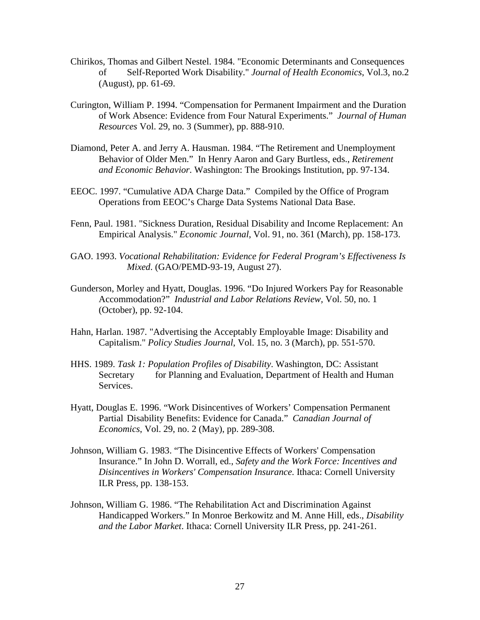- Chirikos, Thomas and Gilbert Nestel. 1984. "Economic Determinants and Consequences of Self-Reported Work Disability." *Journal of Health Economics*, Vol.3, no.2 (August), pp. 61-69.
- Curington, William P. 1994. "Compensation for Permanent Impairment and the Duration of Work Absence: Evidence from Four Natural Experiments." *Journal of Human Resources* Vol. 29, no. 3 (Summer), pp. 888-910.
- Diamond, Peter A. and Jerry A. Hausman. 1984. "The Retirement and Unemployment Behavior of Older Men." In Henry Aaron and Gary Burtless, eds., *Retirement and Economic Behavior*. Washington: The Brookings Institution, pp. 97-134.
- EEOC. 1997. "Cumulative ADA Charge Data." Compiled by the Office of Program Operations from EEOC's Charge Data Systems National Data Base.
- Fenn, Paul. 1981. "Sickness Duration, Residual Disability and Income Replacement: An Empirical Analysis." *Economic Journal*, Vol. 91, no. 361 (March), pp. 158-173.
- GAO. 1993. *Vocational Rehabilitation: Evidence for Federal Program's Effectiveness Is Mixed*. (GAO/PEMD-93-19, August 27).
- Gunderson, Morley and Hyatt, Douglas. 1996. "Do Injured Workers Pay for Reasonable Accommodation?" *Industrial and Labor Relations Review,* Vol. 50, no. 1 (October), pp. 92-104.
- Hahn, Harlan. 1987. "Advertising the Acceptably Employable Image: Disability and Capitalism." *Policy Studies Journal*, Vol. 15, no. 3 (March), pp. 551-570.
- HHS. 1989. *Task 1: Population Profiles of Disability*. Washington, DC: Assistant Secretary for Planning and Evaluation, Department of Health and Human Services.
- Hyatt, Douglas E. 1996. "Work Disincentives of Workers' Compensation Permanent Partial Disability Benefits: Evidence for Canada." *Canadian Journal of Economics*, Vol. 29, no. 2 (May), pp. 289-308.
- Johnson, William G. 1983. "The Disincentive Effects of Workers' Compensation Insurance." In John D. Worrall, ed., *Safety and the Work Force: Incentives and Disincentives in Workers' Compensation Insurance*. Ithaca: Cornell University ILR Press, pp. 138-153.
- Johnson, William G. 1986. "The Rehabilitation Act and Discrimination Against Handicapped Workers." In Monroe Berkowitz and M. Anne Hill, eds., *Disability and the Labor Market*. Ithaca: Cornell University ILR Press, pp. 241-261.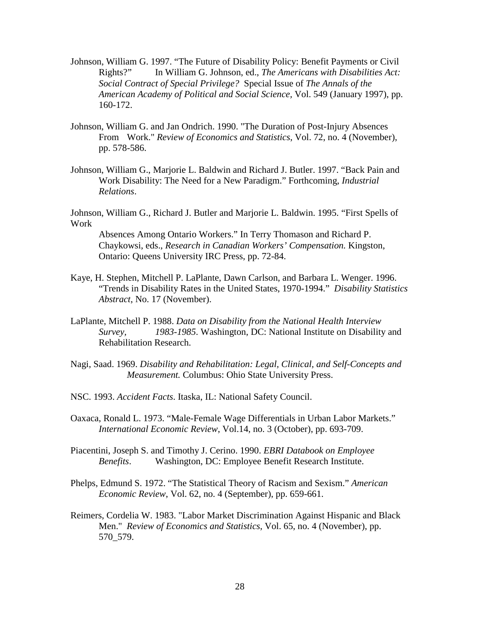- Johnson, William G. 1997. "The Future of Disability Policy: Benefit Payments or Civil Rights?" In William G. Johnson, ed., *The Americans with Disabilities Act: Social Contract of Special Privilege?* Special Issue of *The Annals of the American Academy of Political and Social Science,* Vol. 549 (January 1997), pp. 160-172.
- Johnson, William G. and Jan Ondrich. 1990. "The Duration of Post-Injury Absences From Work." *Review of Economics and Statistics*, Vol. 72, no. 4 (November), pp. 578-586.
- Johnson, William G., Marjorie L. Baldwin and Richard J. Butler. 1997. "Back Pain and Work Disability: The Need for a New Paradigm." Forthcoming, *Industrial Relations*.

Johnson, William G., Richard J. Butler and Marjorie L. Baldwin. 1995. "First Spells of Work

Absences Among Ontario Workers." In Terry Thomason and Richard P. Chaykowsi, eds., *Research in Canadian Workers' Compensation.* Kingston, Ontario: Queens University IRC Press, pp. 72-84.

- Kaye, H. Stephen, Mitchell P. LaPlante, Dawn Carlson, and Barbara L. Wenger. 1996. "Trends in Disability Rates in the United States, 1970-1994." *Disability Statistics Abstract*, No. 17 (November).
- LaPlante, Mitchell P. 1988. *Data on Disability from the National Health Interview Survey, 1983-1985*. Washington, DC: National Institute on Disability and Rehabilitation Research.
- Nagi, Saad. 1969. *Disability and Rehabilitation: Legal, Clinical, and Self-Concepts and Measurement.* Columbus: Ohio State University Press.
- NSC. 1993. *Accident Facts*. Itaska, IL: National Safety Council.
- Oaxaca, Ronald L. 1973. "Male-Female Wage Differentials in Urban Labor Markets." *International Economic Review*, Vol.14, no. 3 (October), pp. 693-709.
- Piacentini, Joseph S. and Timothy J. Cerino. 1990. *EBRI Databook on Employee Benefits*. Washington, DC: Employee Benefit Research Institute.
- Phelps, Edmund S. 1972. "The Statistical Theory of Racism and Sexism." *American Economic Review*, Vol. 62, no. 4 (September), pp. 659-661.
- Reimers, Cordelia W. 1983. "Labor Market Discrimination Against Hispanic and Black Men." *Review of Economics and Statistics*, Vol. 65, no. 4 (November), pp. 570\_579.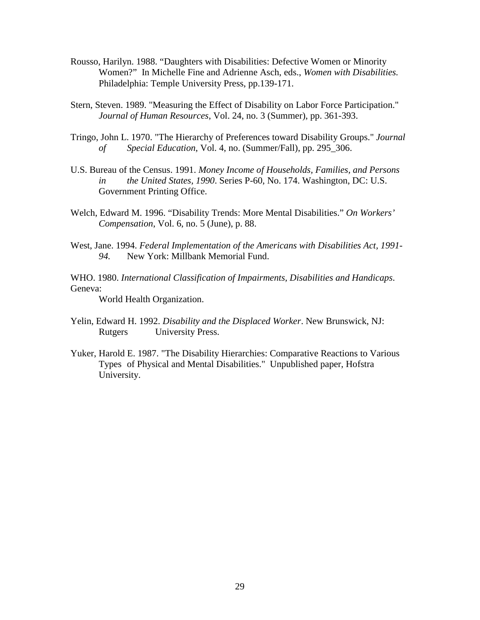- Rousso, Harilyn. 1988. "Daughters with Disabilities: Defective Women or Minority Women?" In Michelle Fine and Adrienne Asch, eds., *Women with Disabilities.*  Philadelphia: Temple University Press, pp.139-171.
- Stern, Steven. 1989. "Measuring the Effect of Disability on Labor Force Participation."  *Journal of Human Resources*, Vol. 24, no. 3 (Summer), pp. 361-393.
- Tringo, John L. 1970. "The Hierarchy of Preferences toward Disability Groups." *Journal of Special Education*, Vol. 4, no. (Summer/Fall), pp. 295\_306.
- U.S. Bureau of the Census. 1991. *Money Income of Households, Families, and Persons in the United States, 1990*. Series P-60, No. 174. Washington, DC: U.S. Government Printing Office.
- Welch, Edward M. 1996. "Disability Trends: More Mental Disabilities." *On Workers' Compensation*, Vol. 6, no. 5 (June), p. 88.
- West, Jane. 1994. *Federal Implementation of the Americans with Disabilities Act, 1991- 94.* New York: Millbank Memorial Fund.
- WHO. 1980. *International Classification of Impairments, Disabilities and Handicaps*. Geneva:

World Health Organization.

- Yelin, Edward H. 1992. *Disability and the Displaced Worker*. New Brunswick, NJ: Rutgers University Press.
- Yuker, Harold E. 1987. "The Disability Hierarchies: Comparative Reactions to Various Types of Physical and Mental Disabilities." Unpublished paper, Hofstra University.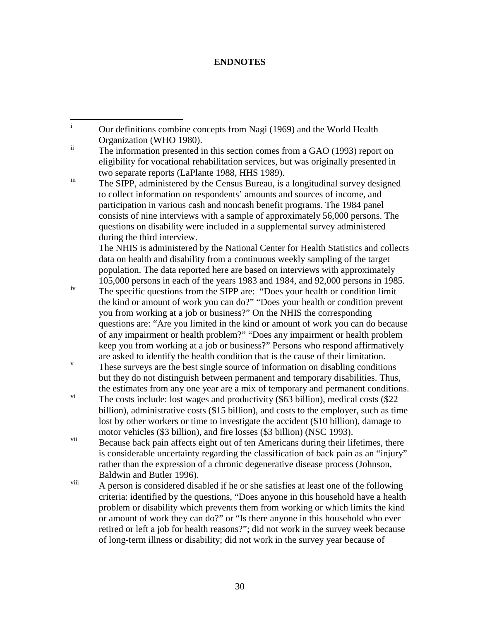# **ENDNOTES**

 i Our definitions combine concepts from Nagi (1969) and the World Health Organization (WHO 1980).

iii The SIPP, administered by the Census Bureau, is a longitudinal survey designed to collect information on respondents' amounts and sources of income, and participation in various cash and noncash benefit programs. The 1984 panel consists of nine interviews with a sample of approximately 56,000 persons. The questions on disability were included in a supplemental survey administered during the third interview.

The NHIS is administered by the National Center for Health Statistics and collects data on health and disability from a continuous weekly sampling of the target population. The data reported here are based on interviews with approximately 105,000 persons in each of the years 1983 and 1984, and 92,000 persons in 1985.

iv The specific questions from the SIPP are: "Does your health or condition limit the kind or amount of work you can do?" "Does your health or condition prevent you from working at a job or business?" On the NHIS the corresponding questions are: "Are you limited in the kind or amount of work you can do because of any impairment or health problem?" "Does any impairment or health problem keep you from working at a job or business?" Persons who respond affirmatively are asked to identify the health condition that is the cause of their limitation.

 These surveys are the best single source of information on disabling conditions but they do not distinguish between permanent and temporary disabilities. Thus, the estimates from any one year are a mix of temporary and permanent conditions.

<sup>vi</sup> The costs include: lost wages and productivity (\$63 billion), medical costs (\$22) billion), administrative costs (\$15 billion), and costs to the employer, such as time lost by other workers or time to investigate the accident (\$10 billion), damage to motor vehicles (\$3 billion), and fire losses (\$3 billion) (NSC 1993).

vii Because back pain affects eight out of ten Americans during their lifetimes, there is considerable uncertainty regarding the classification of back pain as an "injury" rather than the expression of a chronic degenerative disease process (Johnson, Baldwin and Butler 1996).

viii A person is considered disabled if he or she satisfies at least one of the following criteria: identified by the questions, "Does anyone in this household have a health problem or disability which prevents them from working or which limits the kind or amount of work they can do?" or "Is there anyone in this household who ever retired or left a job for health reasons?"; did not work in the survey week because of long-term illness or disability; did not work in the survey year because of

 $\ddot{\text{h}}$  The information presented in this section comes from a GAO (1993) report on eligibility for vocational rehabilitation services, but was originally presented in two separate reports (LaPlante 1988, HHS 1989).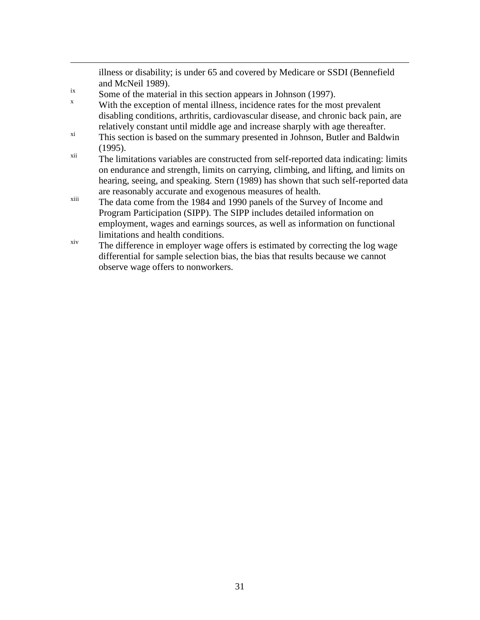illness or disability; is under 65 and covered by Medicare or SSDI (Bennefield and McNeil 1989).

 $\frac{1}{10}$  Some of the material in this section appears in Johnson (1997).

 $\overline{a}$ 

- x With the exception of mental illness, incidence rates for the most prevalent disabling conditions, arthritis, cardiovascular disease, and chronic back pain, are relatively constant until middle age and increase sharply with age thereafter.
- $x_i$  This section is based on the summary presented in Johnson, Butler and Baldwin (1995).
- xii The limitations variables are constructed from self-reported data indicating: limits on endurance and strength, limits on carrying, climbing, and lifting, and limits on hearing, seeing, and speaking. Stern (1989) has shown that such self-reported data are reasonably accurate and exogenous measures of health.
- xiii The data come from the 1984 and 1990 panels of the Survey of Income and Program Participation (SIPP). The SIPP includes detailed information on employment, wages and earnings sources, as well as information on functional limitations and health conditions.
- xiv The difference in employer wage offers is estimated by correcting the log wage differential for sample selection bias, the bias that results because we cannot observe wage offers to nonworkers.